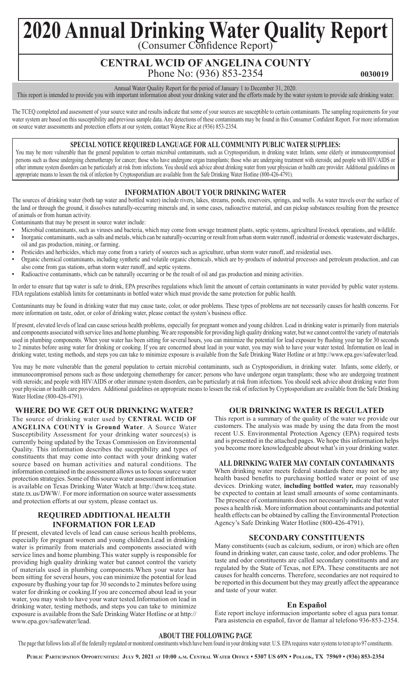# **2020 Annual Drinking Water Quality Report** (Consumer Confidence Report)

# **CENTRAL WCID OF ANGELINA COUNTY** Phone No: (936) 853-2354

**0030019**

Annual Water Quality Report for the period of January 1 to December 31, 2020.

This report is intended to provide you with important information about your drinking water and the efforts made by the water system to provide safe drinking water.

The TCEQ completed and assessment of your source water and results indicate that some of your sources are susceptible to certain contaminants. The sampling requirements for your water system are based on this susceptibility and previous sample data. Any detections of these contaminants may be found in this Consumer Confident Report. For more information on source water assessments and protection efforts at our system, contact Wayne Rice at (936) 853-2354.

## **SPECIAL NOTICE REQUIRED LANGUAGE FOR ALL COMMUNITY PUBLIC WATER SUPPLIES:**

You may be more vulnerable than the general population to certain microbial contaminants, such as Cryptosporidium, in drinking water. Infants, some elderly or immunocompromised persons such as those undergoing chemotherapy for cancer; those who have undergone organ transplants; those who are undergoing treatment with steroids; and people with HIV/AIDS or other immune system disorders can be particularly at risk from infections. You should seek advice about drinking water from your physician or health care provider. Additional guidelines on appropriate means to lessen the risk of infection by Cryptosporidium are available from the Safe Drinking Water Hotline (800-426-4791).

## **INFORMATION ABOUT YOUR DRINKING WATER**

The sources of drinking water (both tap water and bottled water) include rivers, lakes, streams, ponds, reservoirs, springs, and wells. As water travels over the surface of the land or through the ground, it dissolves naturally-occurring minerals and, in some cases, radioactive material, and can pickup substances resulting from the presence of animals or from human activity.

Contaminants that may be present in source water include:

- Microbial contaminants, such as viruses and bacteria, which may come from sewage treatment plants, septic systems, agricultural livestock operations, and wildlife.
- Inorganic contaminants, such as salts and metals, which can be naturally-occurring or result from urban storm water runoff, industrial or domestic wastewater discharges, oil and gas production, mining, or farming.
- Pesticides and herbicides, which may come from a variety of sources such as agriculture, urban storm water runoff, and residential uses.
- Organic chemical contaminants, including synthetic and volatile organic chemicals, which are by-products of industrial processes and petroleum production, and can also come from gas stations, urban storm water runoff, and septic systems.
- Radioactive contaminants, which can be naturally occurring or be the result of oil and gas production and mining activities.

In order to ensure that tap water is safe to drink, EPA prescribes regulations which limit the amount of certain contaminants in water provided by public water systems. FDA regulations establish limits for contaminants in bottled water which must provide the same protection for public health.

Contaminants may be found in drinking water that may cause taste, color, or odor problems. These types of problems are not necessarily causes for health concerns. For more information on taste, odor, or color of drinking water, please contact the system's business office.

If present, elevated levels of lead can cause serious health problems, especially for pregnant women and young children. Lead in drinking water is primarily from materials and components associated with service lines and home plumbing. We are responsible for providing high quality drinking water, but we cannot control the variety of materials used in plumbing components. When your water has been sitting for several hours, you can minimize the potential for lead exposure by flushing your tap for 30 seconds to 2 minutes before using water for drinking or cooking. If you are concerned about lead in your water, you may wish to have your water tested. Information on lead in drinking water, testing methods, and steps you can take to minimize exposure is available from the Safe Drinking Water Hotline or at http://www.epa.gov/safewater/lead.

You may be more vulnerable than the general population to certain microbial contaminants, such as Cryptosporidium, in drinking water. Infants, some elderly, or immunocompromised persons such as those undergoing chemotherapy for cancer; persons who have undergone organ transplants; those who are undergoing treatment with steroids; and people with HIV/AIDS or other immune system disorders, can be particularly at risk from infections. You should seek advice about drinking water from your physician or health care providers. Additional guidelines on appropriate means to lessen the risk of infection by Cryptosporidium are available from the Safe Drinking Water Hotline (800-426-4791).

## **WHERE DO WE GET OUR DRINKING WATER?**

The source of drinking water used by **CENTRAL WCID OF ANGELINA COUNTY is Ground Water**. A Source Water Susceptibility Assessment for your drinking water sources(s) is currently being updated by the Texas Commission on Environmental Quality. This information describes the suceptibility and types of constituents that may come into contact with your drinking water source based on human activities and natural conditions. The information contained in the assessment allows us to focus source water protection strategies. Some of this source water assessment information is available on Texas Drinking Water Watch at http://dww.tceq.state. state.tx.us/DWW/. For more information on source water assessments and protection efforts at our system, please contact us.

## **REQUIRED ADDITIONAL HEALTH INFORMATION FOR LEAD**

If present, elevated levels of lead can cause serious health problems, especially for pregnant women and young children.Lead in drinking water is primarily from materials and components associated with service lines and home plumbing.This water supply is responsible for providing high quality drinking water but cannot control the variety of materials used in plumbing components.When your water has been sitting for several hours, you can minimize the potential for lead exposure by flushing your tap for 30 seconds to 2 minutes before using water for drinking or cooking.If you are concerned about lead in your water, you may wish to have your water tested.Information on lead in drinking water, testing methods, and steps you can take to minimize exposure is available from the Safe Drinking Water Hotline or at http:// www.epa.gov/safewater/lead.

## **OUR DRINKING WATER IS REGULATED**

This report is a summary of the quality of the water we provide our customers. The analysis was made by using the data from the most recent U.S. Environmental Protection Agency (EPA) required tests and is presented in the attached pages. We hope this information helps you become more knowledgeable about what's in your drinking water.

## **ALL DRINKING WATER MAY CONTAIN CONTAMINANTS**

When drinking water meets federal standards there may not be any health based benefits to purchasing bottled water or point of use devices. Drinking water, **including bottled water,** may reasonably be expected to contain at least small amounts of some contaminants. The presence of contaminants does not necessarily indicate that water poses a health risk. More information about contaminants and potential health effects can be obtained by calling the Environmental Protection Agency's Safe Drinking Water Hotline (800-426-4791).

## **SECONDARY CONSTITUENTS**

Many constituents (such as calcium, sodium, or iron) which are often found in drinking water, can cause taste, color, and odor problems. The taste and odor constituents are called secondary constituents and are regulated by the State of Texas, not EPA. These constituents are not causes for health concerns. Therefore, secondaries are not required to be reported in this document but they may greatly affect the appearance and taste of your water.

## **En Español**

Este report incluye informacion importante sobre el agua para tomar. Para asistencia en español, favor de llamar al telefono 936-853-2354.

#### **ABOUT THE FOLLOWING PAGE**

The page that follows lists all of the federally regulated or monitored constituents which have been found in your drinking water. U.S. EPA requires water systems to test up to 97 constituents.

**Public Participation Opportunities: July 9, 2021 at 10:00 a.m. Central Water Office • 5307 US 69N • Pollok, TX 75969 • (936) 853-2354**